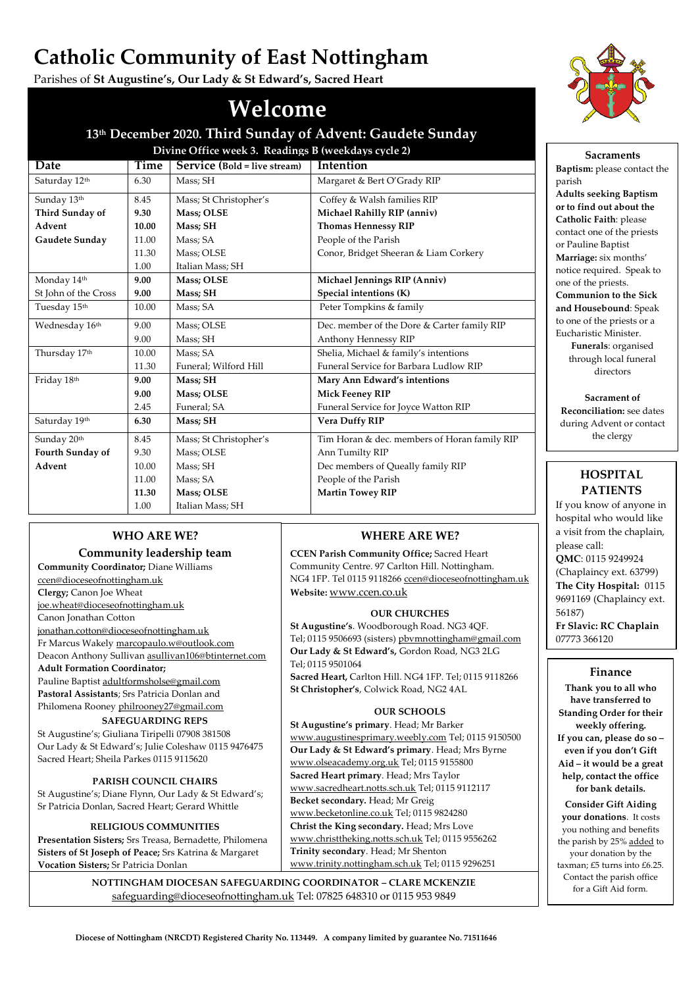# **Catholic Community of East Nottingham**

Parishes of **St Augustine's, Our Lady & St Edward's, Sacred Heart**

# **Welcome**

# **13th December 2020. Third Sunday of Advent: Gaudete Sunday Divine Office week 3. Readings B (weekdays cycle 2)**

| Date                     | Time  | Service (Bold = live stream) | <b>Intention</b>                             |  |
|--------------------------|-------|------------------------------|----------------------------------------------|--|
| Saturday 12th            | 6.30  | Mass; SH                     | Margaret & Bert O'Grady RIP                  |  |
| Sunday 13th              | 8.45  | Mass; St Christopher's       | Coffey & Walsh families RIP                  |  |
| Third Sunday of          | 9.30  | <b>Mass: OLSE</b>            | Michael Rahilly RIP (anniv)                  |  |
| Advent                   | 10.00 | Mass; SH                     | <b>Thomas Hennessy RIP</b>                   |  |
| Gaudete Sunday           | 11.00 | Mass: SA                     | People of the Parish                         |  |
|                          | 11.30 | Mass; OLSE                   | Conor, Bridget Sheeran & Liam Corkery        |  |
|                          | 1.00  | Italian Mass; SH             |                                              |  |
| Monday 14th              | 9.00  | Mass; OLSE                   | Michael Jennings RIP (Anniv)                 |  |
| St John of the Cross     | 9.00  | <b>Mass; SH</b>              | Special intentions (K)                       |  |
| Tuesday 15 <sup>th</sup> | 10.00 | Mass; SA                     | Peter Tompkins & family                      |  |
| Wednesday 16th           | 9.00  | Mass; OLSE                   | Dec. member of the Dore & Carter family RIP  |  |
|                          | 9.00  | Mass; SH                     | Anthony Hennessy RIP                         |  |
| Thursday 17th            | 10.00 | Mass; SA                     | Shelia, Michael & family's intentions        |  |
|                          | 11.30 | Funeral; Wilford Hill        | Funeral Service for Barbara Ludlow RIP       |  |
| Friday 18th              | 9.00  | Mass; SH                     | Mary Ann Edward's intentions                 |  |
|                          | 9.00  | Mass; OLSE                   | <b>Mick Feeney RIP</b>                       |  |
|                          | 2.45  | Funeral; SA                  | Funeral Service for Joyce Watton RIP         |  |
| Saturday 19th            | 6.30  | Mass; SH                     | <b>Vera Duffy RIP</b>                        |  |
| Sunday 20th              | 8.45  | Mass; St Christopher's       | Tim Horan & dec. members of Horan family RIP |  |
| Fourth Sunday of         | 9.30  | Mass; OLSE                   | Ann Tumilty RIP                              |  |
| Advent                   | 10.00 | Mass; SH                     | Dec members of Queally family RIP            |  |
|                          | 11.00 | Mass; SA                     | People of the Parish                         |  |
|                          | 11.30 | Mass; OLSE                   | <b>Martin Towey RIP</b>                      |  |
|                          | 1.00  | Italian Mass; SH             |                                              |  |

**WHERE ARE WE?**

**OUR CHURCHES**

**Sacred Heart,** Carlton Hill. NG4 1FP. Tel; 0115 9118266

**OUR SCHOOLS**

[www.augustinesprimary.weebly.com](http://www.augustinesprimary.weebly.com/) Tel; 0115 9150500 **Our Lady & St Edward's primary**. Head; Mrs Byrne [www.olseacademy.org.uk](http://www.olseacademy.org.uk/) Tel; 0115 9155800 **Sacred Heart primary**. Head; Mrs Taylor [www.sacredheart.notts.sch.uk](http://www.sacredheart.notts.sch.uk/) Tel; 0115 9112117

**CCEN Parish Community Office;** Sacred Heart Community Centre. 97 Carlton Hill. Nottingham. NG4 1FP. Tel 0115 911826[6 ccen@dioceseofnottingham.uk](mailto:ccen@dioceseofnottingham.uk)

**St Augustine's**. Woodborough Road. NG3 4QF. Tel; 0115 9506693 (sisters) [pbvmnottingham@gmail.com](mailto:pbvmnottingham@gmail.com) **Our Lady & St Edward's,** Gordon Road, NG3 2LG

**St Christopher's**, Colwick Road, NG2 4AL

**St Augustine's primary**. Head; Mr Barker

**Becket secondary.** Head; Mr Greig [www.becketonline.co.uk](http://www.becketonline.co.uk/) Tel; 0115 9824280 **Christ the King secondary.** Head; Mrs Love [www.christtheking.notts.sch.uk](http://www.christtheking.notts.sch.uk/) Tel; 0115 9556262

**Trinity secondary**. Head; Mr Shenton

[www.trinity.nottingham.sch.uk](http://www.trinity.nottingham.sch.uk/) Tel; 0115 9296251

**Website:** [www.ccen.co.uk](http://www.ccen.co.uk/)

Tel; 0115 9501064

# **WHO ARE WE?**

### **Community leadership team**

**Community Coordinator;** Diane Williams [ccen@dioceseofnottingham.uk](mailto:ccen@dioceseofnottingham.uk) **Clergy;** Canon Joe Wheat [joe.wheat@dioceseofnottingham.uk](mailto:joe.wheat@dioceseofnottingham.uk) Canon Jonathan Cotton

[jonathan.cotton@dioceseofnottingham.uk](mailto:jonathan.cotton@dioceseofnottingham.uk) Fr Marcus Wakel[y marcopaulo.w@outlook.com](mailto:marcopaulo.w@outlook.com) Deacon Anthony Sulliva[n asullivan106@btinternet.com](mailto:asullivan106@btinternet.com) **Adult Formation Coordinator;** Pauline Baptis[t adultformsholse@gmail.com](mailto:adultformsholse@gmail.com) **Pastoral Assistants**; Srs Patricia Donlan and

Philomena Rooney [philrooney27@gmail.com](mailto:philrooney27@gmail.com) **SAFEGUARDING REPS**

St Augustine's; Giuliana Tiripelli 07908 381508 Our Lady & St Edward's; Julie Coleshaw 0115 9476475 Sacred Heart; Sheila Parkes 0115 9115620

### **PARISH COUNCIL CHAIRS**

St Augustine's; Diane Flynn, Our Lady & St Edward's; Sr Patricia Donlan, Sacred Heart; Gerard Whittle

# **RELIGIOUS COMMUNITIES**

**Presentation Sisters;** Srs Treasa, Bernadette, Philomena **Sisters of St Joseph of Peace;** Srs Katrina & Margaret **Vocation Sisters;** Sr Patricia Donlan

> **NOTTINGHAM DIOCESAN SAFEGUARDING COORDINATOR – CLARE MCKENZIE** [safeguarding@dioceseofnottingham.uk](mailto:safeguarding@dioceseofnottingham.uk) Tel: 07825 648310 or 0115 953 9849



**Sacraments Baptism:** please contact the parish **Adults seeking Baptism or to find out about the Catholic Faith**: please contact one of the priests or Pauline Baptist **Marriage:** six months' notice required. Speak to one of the priests. **Communion to the Sick and Housebound**: Speak to one of the priests or a Eucharistic Minister. **Funerals**: organised through local funeral directors

**Sacrament of Reconciliation:** see dates during Advent or contact the clergy

# **HOSPITAL PATIENTS**

If you know of anyone in hospital who would like a visit from the chaplain, please call: **QMC**: 0115 9249924 (Chaplaincy ext. 63799) **The City Hospital:** 0115 9691169 (Chaplaincy ext. 56187) **Fr Slavic: RC Chaplain** 07773 366120

# **Finance**

**Thank you to all who have transferred to Standing Order for their weekly offering. If you can, please do so – even if you don't Gift Aid – it would be a great help, contact the office for bank details.**

**Consider Gift Aiding your donations**. It costs you nothing and benefits the parish by 25% added to your donation by the taxman; £5 turns into £6.25. Contact the parish office for a Gift Aid form.